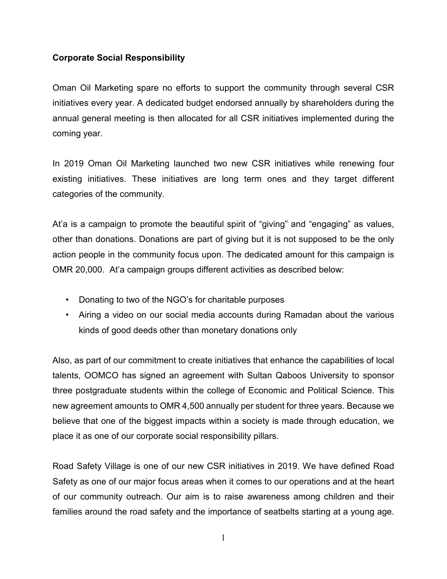## **Corporate Social Responsibility**

Oman Oil Marketing spare no efforts to support the community through several CSR initiatives every year. A dedicated budget endorsed annually by shareholders during the annual general meeting is then allocated for all CSR initiatives implemented during the coming year.

In 2019 Oman Oil Marketing launched two new CSR initiatives while renewing four existing initiatives. These initiatives are long term ones and they target different categories of the community.

At'a is a campaign to promote the beautiful spirit of "giving" and "engaging" as values, other than donations. Donations are part of giving but it is not supposed to be the only action people in the community focus upon. The dedicated amount for this campaign is OMR 20,000. At'a campaign groups different activities as described below:

- Donating to two of the NGO's for charitable purposes
- Airing a video on our social media accounts during Ramadan about the various kinds of good deeds other than monetary donations only

Also, as part of our commitment to create initiatives that enhance the capabilities of local talents, OOMCO has signed an agreement with Sultan Qaboos University to sponsor three postgraduate students within the college of Economic and Political Science. This new agreement amounts to OMR 4,500 annually per student for three years. Because we believe that one of the biggest impacts within a society is made through education, we place it as one of our corporate social responsibility pillars.

Road Safety Village is one of our new CSR initiatives in 2019. We have defined Road Safety as one of our major focus areas when it comes to our operations and at the heart of our community outreach. Our aim is to raise awareness among children and their families around the road safety and the importance of seatbelts starting at a young age.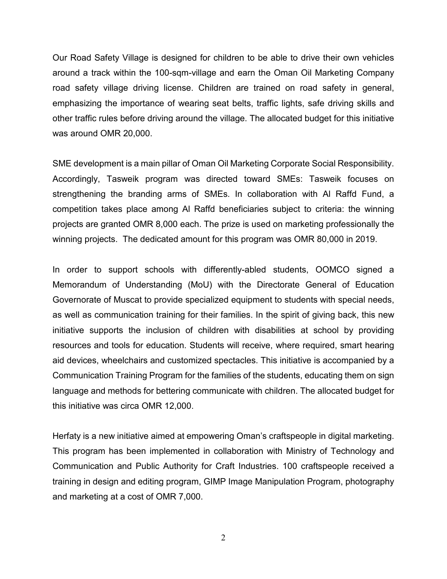Our Road Safety Village is designed for children to be able to drive their own vehicles around a track within the 100-sqm-village and earn the Oman Oil Marketing Company road safety village driving license. Children are trained on road safety in general, emphasizing the importance of wearing seat belts, traffic lights, safe driving skills and other traffic rules before driving around the village. The allocated budget for this initiative was around OMR 20,000.

SME development is a main pillar of Oman Oil Marketing Corporate Social Responsibility. Accordingly, Tasweik program was directed toward SMEs: Tasweik focuses on strengthening the branding arms of SMEs. In collaboration with Al Raffd Fund, a competition takes place among Al Raffd beneficiaries subject to criteria: the winning projects are granted OMR 8,000 each. The prize is used on marketing professionally the winning projects. The dedicated amount for this program was OMR 80,000 in 2019.

In order to support schools with differently-abled students, OOMCO signed a Memorandum of Understanding (MoU) with the Directorate General of Education Governorate of Muscat to provide specialized equipment to students with special needs, as well as communication training for their families. In the spirit of giving back, this new initiative supports the inclusion of children with disabilities at school by providing resources and tools for education. Students will receive, where required, smart hearing aid devices, wheelchairs and customized spectacles. This initiative is accompanied by a Communication Training Program for the families of the students, educating them on sign language and methods for bettering communicate with children. The allocated budget for this initiative was circa OMR 12,000.

Herfaty is a new initiative aimed at empowering Oman's craftspeople in digital marketing. This program has been implemented in collaboration with Ministry of Technology and Communication and Public Authority for Craft Industries. 100 craftspeople received a training in design and editing program, GIMP Image Manipulation Program, photography and marketing at a cost of OMR 7,000.

2